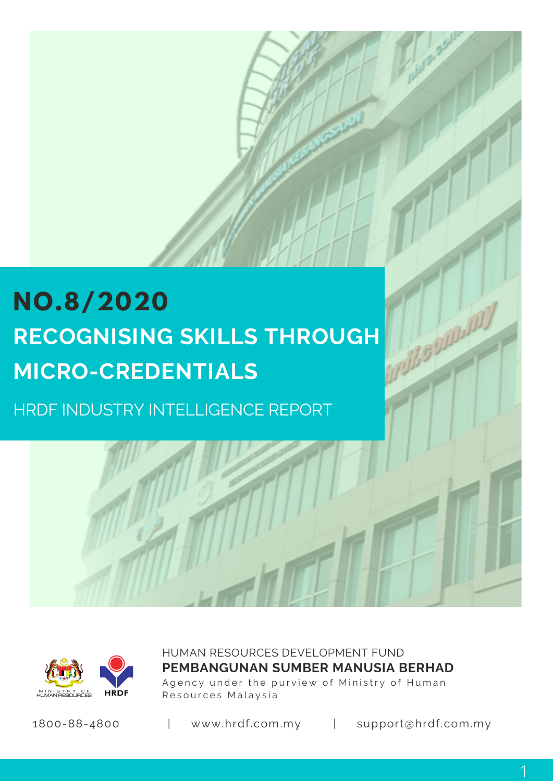# **NO.8/2020 RECOGNISING SKILLS THROUGH MICRO-CREDENTIALS**

HRDF INDUSTRY INTELLIGENCE REPORT



HUMAN RESOURCES DEVELOPMENT FUND Agency under the purview of Ministry of Human Resources Malaysia **PEMBANGUNAN SUMBER MANUSIA BERHAD**

1800-88-4800 | www.hrdf.com.my | support@hrdf.com.my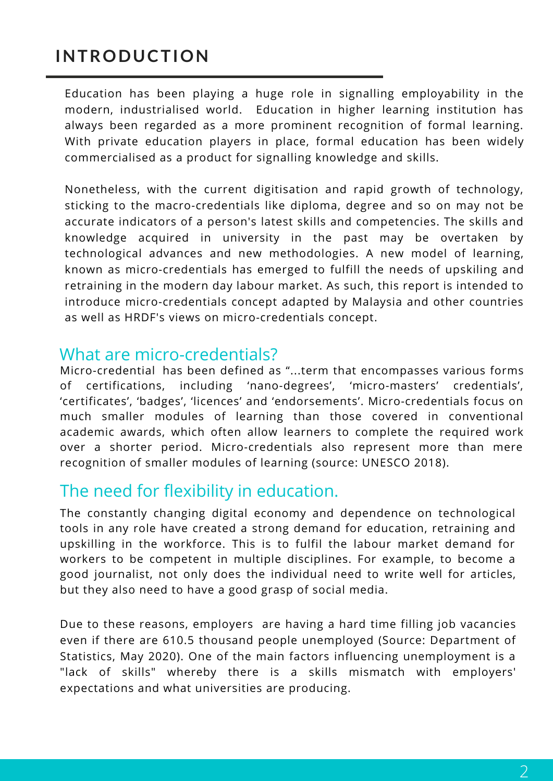## **INTRODUCTION**

Education has been playing a huge role in signalling employability in the modern, industrialised world. Education in higher learning institution has always been regarded as a more prominent recognition of formal learning. With private education players in place, formal education has been widely commercialised as a product for signalling knowledge and skills.

Nonetheless, with the current digitisation and rapid growth of technology, sticking to the macro-credentials like diploma, degree and so on may not be accurate indicators of a person's latest skills and competencies. The skills and knowledge acquired in university in the past may be overtaken by technological advances and new methodologies. A new model of learning, known as micro-credentials has emerged to fulfill the needs of upskiling and retraining in the modern day labour market. As such, this report is intended to introduce micro-credentials concept adapted by Malaysia and other countries as well as HRDF's views on micro-credentials concept.

### What are micro-credentials?

Micro-credential has been defined as "...term that encompasses various forms of certifications, including 'nano-degrees', 'micro-masters' credentials', 'certificates', 'badges', 'licences' and 'endorsements'. Micro-credentials focus on much smaller modules of learning than those covered in conventional academic awards, which often allow learners to complete the required work over a shorter period. Micro-credentials also represent more than mere recognition of smaller modules of learning (source: UNESCO 2018).

### The need for flexibility in education.

The constantly changing digital economy and dependence on technological tools in any role have created a strong demand for education, retraining and upskilling in the workforce. This is to fulfil the labour market demand for workers to be competent in multiple disciplines. For example, to become a good journalist, not only does the individual need to write well for articles, but they also need to have a good grasp of social media.

Due to these reasons, employers are having a hard time filling job vacancies even if there are 610.5 thousand people unemployed (Source: Department of Statistics, May 2020). One of the main factors influencing unemployment is a "lack of skills" whereby there is a skills mismatch with employers' expectations and what universities are producing.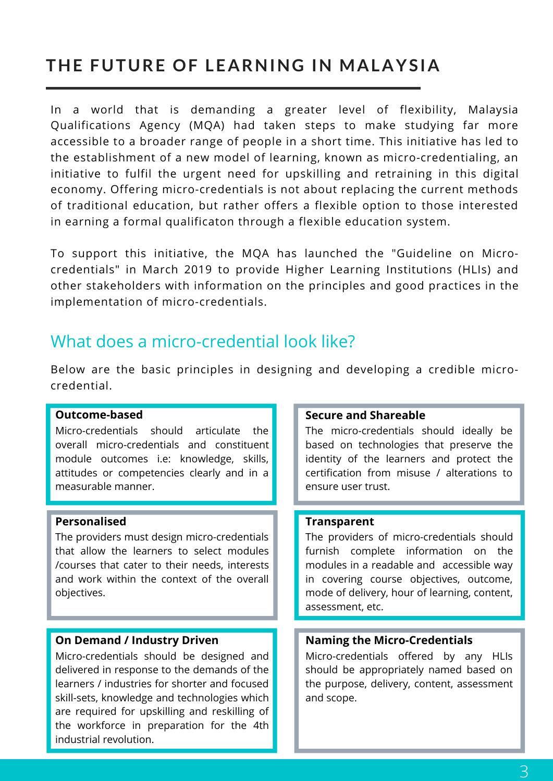# **THE FUTURE OF LEARNING IN MALAYSIA**

In a world that is demanding a greater level of flexibility, Malaysia Qualifications Agency (MQA) had taken steps to make studying far more accessible to a broader range of people in a short time. This initiative has led to the establishment of a new model of learning, known as micro-credentialing, an initiative to fulfil the urgent need for upskilling and retraining in this digital economy. Offering micro-credentials is not about replacing the current methods of traditional education, but rather offers a flexible option to those interested in earning a formal qualificaton through a flexible education system.

To support this initiative, the MQA has launched the "Guideline on Microcredentials" in March 2019 to provide Higher Learning Institutions (HLIs) and other stakeholders with information on the principles and good practices in the implementation of micro-credentials.

### What does a micro-credential look like?

Below are the basic principles in designing and developing a credible microcredential.

#### **Outcome-based**

Micro-credentials should articulate the overall micro-credentials and constituent module outcomes i.e: knowledge, skills, attitudes or competencies clearly and in a measurable manner.

#### **Personalised**

The providers must design micro-credentials that allow the learners to select modules /courses that cater to their needs, interests and work within the context of the overall objectives.

#### **On Demand / Industry Driven**

Micro-credentials should be designed and delivered in response to the demands of the learners / industries for shorter and focused skill-sets, knowledge and technologies which are required for upskilling and reskilling of the workforce in preparation for the 4th industrial revolution.

#### **Secure and Shareable**

The micro-credentials should ideally be based on technologies that preserve the identity of the learners and protect the certification from misuse / alterations to ensure user trust.

#### **Transparent**

The providers of micro-credentials should furnish complete information on the modules in a readable and accessible way in covering course objectives, outcome, mode of delivery, hour of learning, content, assessment, etc.

#### **Naming the Micro-Credentials**

Micro-credentials offered by any HLIs should be appropriately named based on the purpose, delivery, content, assessment and scope.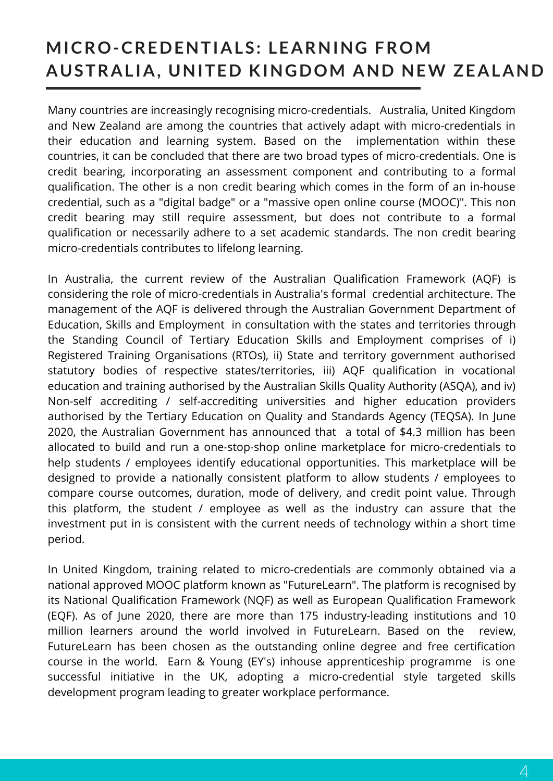# **MICRO-CREDENTIALS: LEARNING FROM AUSTRAL IA, UNITED KINGDOM AND NEW ZEALAND**

Many countries are increasingly recognising micro-credentials. Australia, United Kingdom and New Zealand are among the countries that actively adapt with micro-credentials in their education and learning system. Based on the implementation within these countries, it can be concluded that there are two broad types of micro-credentials. One is credit bearing, incorporating an assessment component and contributing to a formal qualification. The other is a non credit bearing which comes in the form of an in-house credential, such as a "digital badge" or a "massive open online course (MOOC)". This non credit bearing may still require assessment, but does not contribute to a formal qualification or necessarily adhere to a set academic standards. The non credit bearing micro-credentials contributes to lifelong learning.

In Australia, the current review of the Australian Qualification Framework (AQF) is considering the role of micro-credentials in Australia's formal credential architecture. The management of the AQF is delivered through the Australian Government Department of Education, Skills and Employment in consultation with the states and territories through the Standing Council of Tertiary Education Skills and Employment comprises of i) Registered Training Organisations (RTOs), ii) State and territory government authorised statutory bodies of respective states/territories, iii) AQF qualification in vocational education and training authorised by the Australian Skills Quality Authority (ASQA), and iv) Non-self accrediting / self-accrediting universities and higher education providers authorised by the Tertiary Education on Quality and Standards Agency (TEQSA). In June 2020, the Australian Government has announced that a total of \$4.3 million has been allocated to build and run a one-stop-shop online marketplace for micro-credentials to help students / employees identify educational opportunities. This marketplace will be designed to provide a nationally consistent platform to allow students / employees to compare course outcomes, duration, mode of delivery, and credit point value. Through this platform, the student / employee as well as the industry can assure that the investment put in is consistent with the current needs of technology within a short time period.

In United Kingdom, training related to micro-credentials are commonly obtained via a national approved MOOC platform known as "FutureLearn". The platform is recognised by its National Qualification Framework (NQF) as well as European Qualification Framework (EQF). As of June 2020, there are more than 175 industry-leading institutions and 10 million learners around the world involved in FutureLearn. Based on the review, FutureLearn has been chosen as the outstanding online degree and free certification course in the world. Earn & Young (EY's) inhouse apprenticeship programme is one successful initiative in the UK, adopting a micro-credential style targeted skills development program leading to greater workplace performance.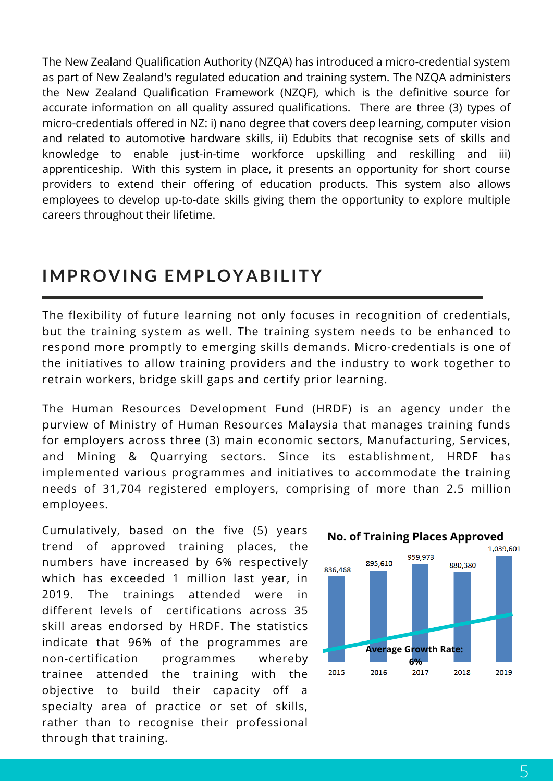The New Zealand Qualification Authority (NZQA) has introduced a micro-credential system as part of New Zealand's regulated education and training system. The NZQA administers the New Zealand Qualification Framework (NZQF), which is the definitive source for accurate information on all quality assured qualifications. There are three (3) types of micro-credentials offered in NZ: i) nano degree that covers deep learning, computer vision and related to automotive hardware skills, ii) Edubits that recognise sets of skills and knowledge to enable just-in-time workforce upskilling and reskilling and iii) apprenticeship. With this system in place, it presents an opportunity for short course providers to extend their offering of education products. This system also allows employees to develop up-to-date skills giving them the opportunity to explore multiple careers throughout their lifetime.

### **IMPROVING EMPLOYABI L ITY**

The flexibility of future learning not only focuses in recognition of credentials, but the training system as well. The training system needs to be enhanced to respond more promptly to emerging skills demands. Micro-credentials is one of the initiatives to allow training providers and the industry to work together to retrain workers, bridge skill gaps and certify prior learning.

The Human Resources Development Fund (HRDF) is an agency under the purview of Ministry of Human Resources Malaysia that manages training funds for employers across three (3) main economic sectors, Manufacturing, Services, and Mining & Quarrying sectors. Since its establishment, HRDF has implemented various programmes and initiatives to accommodate the training needs of 31,704 registered employers, comprising of more than 2.5 million employees.

Cumulatively, based on the five (5) years trend of approved training places, the numbers have increased by 6% respectively which has exceeded 1 million last year, in 2019. The trainings attended were in different levels of certifications across 35 skill areas endorsed by HRDF. The statistics indicate that 96% of the programmes are non-certification programmes whereby trainee attended the training with the objective to build their capacity off a specialty area of practice or set of skills, rather than to recognise their professional through that training.